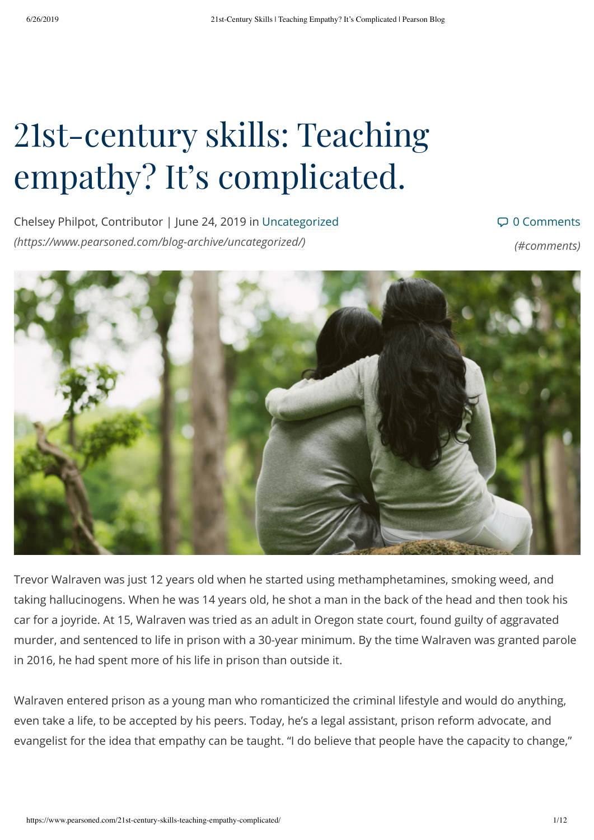# 21st-century skills: Teaching empathy? It's complicated.

Chelsey Philpot, Contributor | June 24, 2019 in Uncategorized *[\(https://www.pearsoned.com/blog-archive/uncategorized/\)](https://www.pearsoned.com/blog-archive/uncategorized/)*

#### 0 Comments

*(#comments)*



Trevor Walraven was just 12 years old when he started using methamphetamines, smoking weed, and taking hallucinogens. When he was 14 years old, he shot a man in the back of the head and then took his car for a joyride. At 15, Walraven was tried as an adult in Oregon state court, found guilty of aggravated murder, and sentenced to life in prison with a 30-year minimum. By the time Walraven was granted parole in 2016, he had spent more of his life in prison than outside it.

Walraven entered prison as a young man who romanticized the criminal lifestyle and would do anything, even take a life, to be accepted by his peers. Today, he's a legal assistant, prison reform advocate, and evangelist for the idea that empathy can be taught. "I do believe that people have the capacity to change,"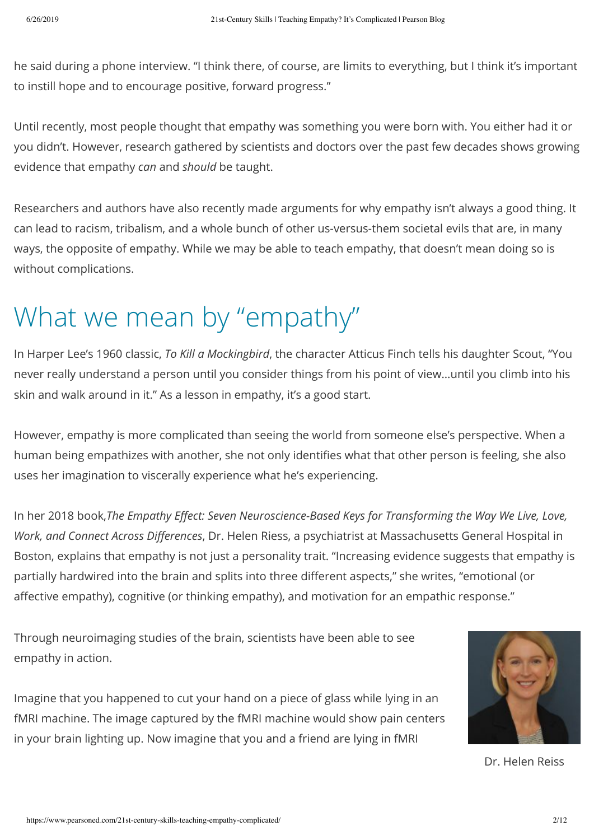he said during a phone interview. "I think there, of course, are limits to everything, but I think it's important to instill hope and to encourage positive, forward progress."

Until recently, most people thought that empathy was something you were born with. You either had it or you didn't. However, research gathered by scientists and doctors over the past few decades shows growing evidence that empathy *can* and *should* be taught.

Researchers and authors have also recently made arguments for why empathy isn't always a good thing. It can lead to racism, tribalism, and a whole bunch of other us-versus-them societal evils that are, in many ways, the opposite of empathy. While we may be able to teach empathy, that doesn't mean doing so is without complications.

### What we mean by "empathy"

In Harper Lee's 1960 classic, *To Kill a Mockingbird*, the character Atticus Finch tells his daughter Scout, "You never really understand a person until you consider things from his point of view...until you climb into his skin and walk around in it." As a lesson in empathy, it's a good start.

However, empathy is more complicated than seeing the world from someone else's perspective. When a human being empathizes with another, she not only identifies what that other person is feeling, she also uses her imagination to viscerally experience what he's experiencing.

In her 2018 book,*The Empathy Effect: Seven Neuroscience-Based Keys for Transforming the Way We Live, Love, Work, and Connect Across Differences*, Dr. Helen Riess, a psychiatrist at Massachusetts General Hospital in Boston, explains that empathy is not just a personality trait. "Increasing evidence suggests that empathy is partially hardwired into the brain and splits into three different aspects," she writes, "emotional (or affective empathy), cognitive (or thinking empathy), and motivation for an empathic response."

Through neuroimaging studies of the brain, scientists have been able to see empathy in action.

Imagine that you happened to cut your hand on a piece of glass while lying in an fMRI machine. The image captured by the fMRI machine would show pain centers in your brain lighting up. Now imagine that you and a friend are lying in fMRI



Dr. Helen Reiss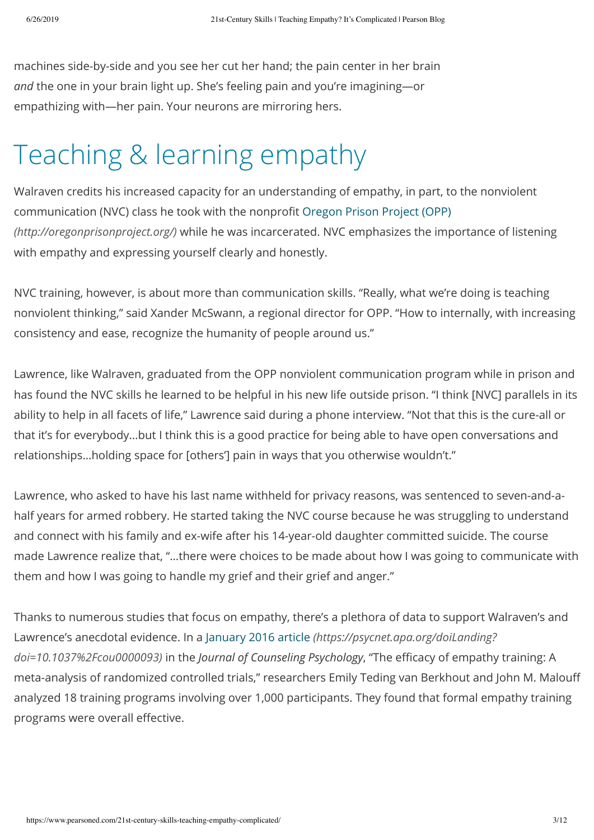machines side-by-side and you see her cut her hand; the pain center in her brain and the one in your brain light up. She's feeling pain and you're imagining-or empathizing with—her pain. Your neurons are mirroring hers.

### Teaching & learning empathy

Walraven credits his increased capacity for an understanding of empathy, in part, to the nonviolent communication (NVC) class he took with the nonprofit Oregon Prison Project (OPP) *[\(http://oregonprisonproject.org/\)](http://oregonprisonproject.org/)* while he was incarcerated. NVC emphasizes the importance of listening with empathy and expressing yourself clearly and honestly.

NVC training, however, is about more than communication skills. "Really, what we're doing is teaching nonviolent thinking," said Xander McSwann, a regional director for OPP. "How to internally, with increasing consistency and ease, recognize the humanity of people around us."

Lawrence, like Walraven, graduated from the OPP nonviolent communication program while in prison and has found the NVC skills he learned to be helpful in his new life outside prison. "I think [NVC] parallels in its ability to help in all facets of life," Lawrence said during a phone interview. "Not that this is the cure-all or that it's for everybody...but I think this is a good practice for being able to have open conversations and relationships...holding space for [others'] pain in ways that you otherwise wouldn't."

Lawrence, who asked to have his last name withheld for privacy reasons, was sentenced to seven-and-ahalf years for armed robbery. He started taking the NVC course because he was struggling to understand and connect with his family and ex-wife after his 14-year-old daughter committed suicide. The course made Lawrence realize that, "…there were choices to be made about how I was going to communicate with them and how I was going to handle my grief and their grief and anger."

Thanks to numerous studies that focus on empathy, there's a plethora of data to support Walraven's and Lawrence's anecdotal evidence. In a January 2016 article *[\(https://psycnet.apa.org/doiLanding?](https://psycnet.apa.org/doiLanding?doi=10.1037%2Fcou0000093) doi=10.1037%2Fcou0000093)* in the *Journal of Counseling Psychology*, "The efficacy of empathy training: A meta-analysis of randomized controlled trials," researchers Emily Teding van Berkhout and John M. Malouff analyzed 18 training programs involving over 1,000 participants. They found that formal empathy training programs were overall effective.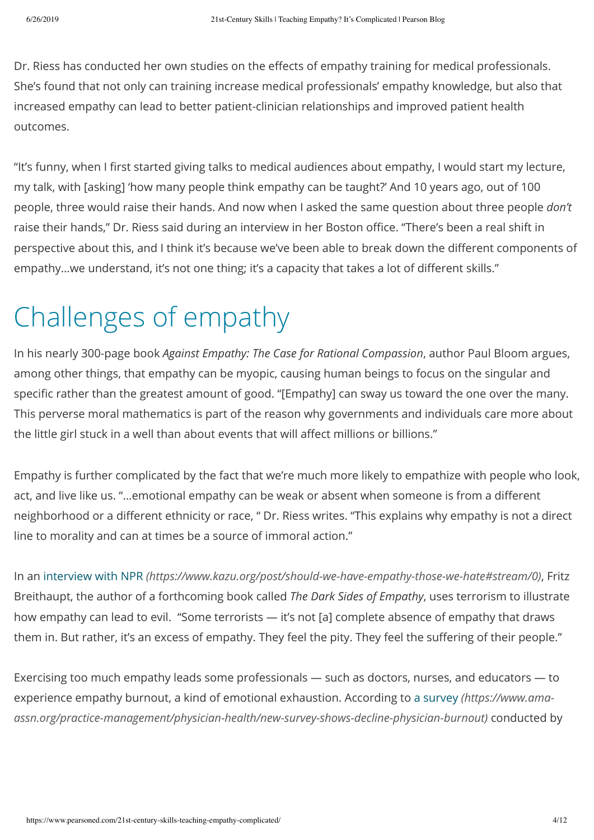Dr. Riess has conducted her own studies on the effects of empathy training for medical professionals. She's found that not only can training increase medical professionals' empathy knowledge, but also that increased empathy can lead to better patient-clinician relationships and improved patient health outcomes.

"It's funny, when I first started giving talks to medical audiences about empathy, I would start my lecture, my talk, with [asking] 'how many people think empathy can be taught?' And 10 years ago, out of 100 people, three would raise their hands. And now when I asked the same question about three people *don't* raise their hands," Dr. Riess said during an interview in her Boston office. "There's been a real shift in perspective about this, and I think it's because we've been able to break down the different components of empathy...we understand, it's not one thing; it's a capacity that takes a lot of different skills."

## Challenges of empathy

In his nearly 300-page book *Against Empathy: The Case for Rational Compassion*, author Paul Bloom argues, among other things, that empathy can be myopic, causing human beings to focus on the singular and specific rather than the greatest amount of good. "[Empathy] can sway us toward the one over the many. This perverse moral mathematics is part of the reason why governments and individuals care more about the little girl stuck in a well than about events that will affect millions or billions."

Empathy is further complicated by the fact that we're much more likely to empathize with people who look, act, and live like us. "...emotional empathy can be weak or absent when someone is from a different neighborhood or a different ethnicity or race, " Dr. Riess writes. "This explains why empathy is not a direct line to morality and can at times be a source of immoral action."

In an interview with NPR *[\(https://www.kazu.org/post/should-we-have-empathy-those-we-hate#stream/0\)](https://www.kazu.org/post/should-we-have-empathy-those-we-hate#stream/0)*, Fritz Breithaupt, the author of a forthcoming book called *The Dark Sides of Empathy*, uses terrorism to illustrate how empathy can lead to evil. "Some terrorists — it's not [a] complete absence of empathy that draws them in. But rather, it's an excess of empathy. They feel the pity. They feel the suffering of their people."

Exercising too much empathy leads some professionals  $-$  such as doctors, nurses, and educators  $-$  to experience empathy burnout, a kind of emotional exhaustion. According to a survey *(https://www.ama*[assn.org/practice-management/physician-health/new-survey-shows-decline-physician-burnout\)](https://www.ama-assn.org/practice-management/physician-health/new-survey-shows-decline-physician-burnout) conducted by